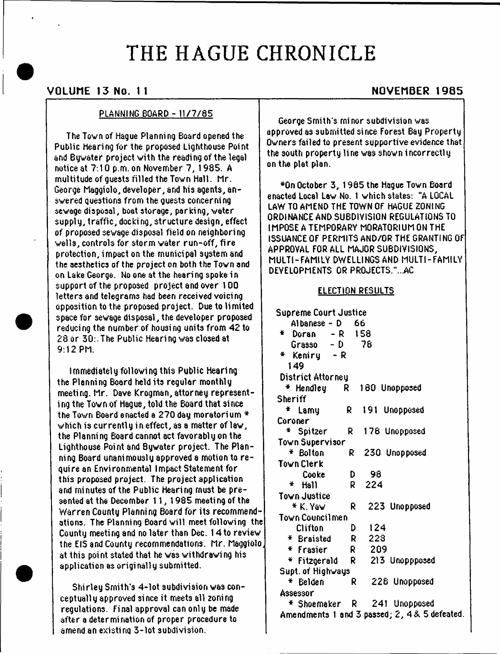# THE HAGUE CHRONICLE

# **VOLUME 13 No. 11** NOVEMBER 1985

#### PLANNING BOARD - 11/7/85

The Town of Hague Planning Board opened the Public hearing for the proposed Lighthouse Point and Bgwater project with the reading of the legal notice at 7:10 p.m. on November 7, 1985. A multitude of guests filled the Town Hall. Mr. George Maggiolo, developer, and his agents, answered questions from the guests concerning sewage disposal, boat storage, parking, water supply, traffic, docking, structure design, effect of proposed sewage disposal field on neighboring wells, controls for storm water run-off, fire protection, impact on the municipal system and the aesthetics of the project on both the Town and on Lake George. No one at the hearing spoke in support of the proposed project and over 100 letters and telegrams had been received voicing opposition to the proposed project. Due to limited space for sewage disposal, the developer proposed reducing the number of housing units from 42 to 28 or 30:. The Public Hearing was closed at 9:12 PM.

Immediately following this Public Hearing the Planning Board held its regular monthly meeting. Mr. Dave Krogman,attorney representing the Town of Hague, told the Board that since the Town Board enacted a 270 day moratorium \* which is currently in effect, as a matter of law, the Planning Board cannot act favorably on the Lighthouse Point and Bywater project. The Planning Board unanimously approved a motion to require an Environmental Impact Statement for this proposed project. The project application and minutes of the Public Hearing must be presented at the December 11, 1985 meeting of the Warren County Planning Board for its recommendations. The Planning Board will meet following the County meeting and no later than Dec. 14to review the EIS and County recommendations. Mr. Maggiolo at this point stated that he was withdrawing his application as originaily submitted.

Shirley Smith's 4-lot subdivision was conceptually approved since it meets all zoning regulations. Final approval can only be made after a determination of proper procedure to amend an existing 3-lot subdivision.

George Smith's minor subdivision was approved as submitted since Forest Bay Property Owners failed to present supportive evidence that the south property line was shown incorrectly on the plat plan.

\*On October 3, 1985 the Hague Town Board enacted Local Law No. 1 which states: "A LOCAL LAW TO AMEND THE TOWN OF HAGUE 20NI NG ORDINANCE AND SUBDIVISION REGULATIONS TO IMPOSE A TEMPORARY MORATORIUM ON THE ISSUANCE OF PERMITS AND/OR THE GRANTING OF APPROVAL FOR ALL MAJOR SUBDIVISIONS, MULTI-FAMILY DWELLINGS AND MULTI-FAMILY DEVELOPMENTS OR PROJECTS."...AC

#### ELECTION RESULTS

| Supreme Court Justice                         |
|-----------------------------------------------|
| Albanese - D 66                               |
| * Doran – R 158                               |
| Grasso $-D$ 78                                |
| * Keniry – R                                  |
| 149                                           |
| District Attorney                             |
| $*$ Hendley $\,$ R $\,$ 180 Unopposed         |
| Sheriff                                       |
| R 191 Unopposed<br>* Lamy                     |
| Coroner                                       |
| * Spitzer<br>R 178 Unopposed                  |
| Town Supervisor                               |
| * Bolton<br>R 230 Unopposed                   |
| Town Clerk                                    |
| - 98<br>Cooke<br>D                            |
| R 224<br>* Hall                               |
| Town Justice                                  |
| * K. Yaw<br>R.<br>223 Unopposed               |
| Town Councilmen                               |
| $D = 124$<br>Clifton                          |
| * Braisted R 228                              |
| $*$ Frasier R 209                             |
| R 213 Unoppposed<br>* Fitzgerald              |
| Supt. of Highways                             |
| 228 Unopposed<br>* Belden<br>R.               |
| Assessor                                      |
| * Shoemaker R 241 Unopposed                   |
| Amendments 1 and 3 passed; 2, 4 & 5 defeated. |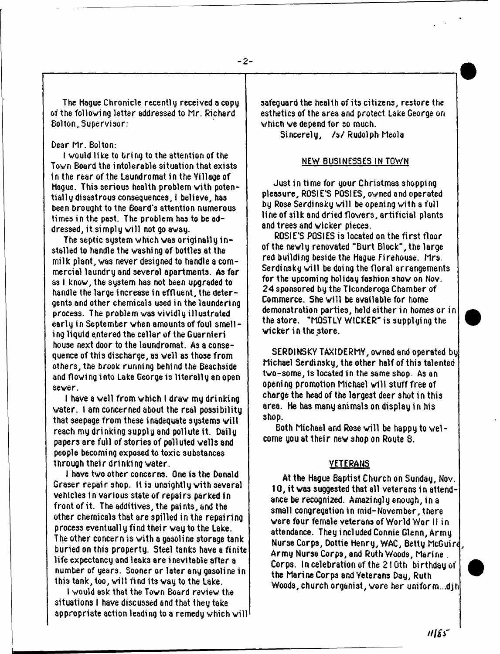$-2-$ 

The Hague Chronicle recently received a copy of the following letter addressed to Mr. Richard Bolton, Supervisor:

#### Dear Mr. Bolton:

I would like to bri ng to the attention of the Town Board the intolerable situation that exists in the rear of the Laundromat in the Village of Hague. This serious health problem with potentially disastrous consequences, t believe, has been brought to the Board's attention numerous times in the past. The problem has to be addressed, it simply will not go away.

The septic system which was originally in stalled to handle the washing of bottles at the milk plant, was never designed to handle a commercial laundry and several apartments. As far as I know, the system has not been upgraded to handle the large increase in effluent, the detergents and other chemicals used in the laundering process. The problem was vividly illustrated early in September when amounts of foul smelli ng liquid e.ntered the cellar of the Guarnieri house next door to the laundromat. As a consequence of this discharge, as well as those from others, the brook running behind the Beachside and flowing into Lake George is literally an open sewer.

I have a well from which I draw my drinking water. I am concerned about the real possibility that seepage from these inadequate systems will reach my drinking supply and pollute it. Daily papers are full of stories of polluted veils and people becoming exposed to toxic substances through their drinking water.

I have two other concerns. One is the Donald Graser repair shop. It is unsightly with several vehicles in various state of repairs parked In front of it. The additives, the paints, and the other chemicals that are spilled in the repairing process eventually find their way to the Lake. The other concern is with a gasoline storage tank buried on this property. Steel tanks have a finite life expectancy and leaks are inevitable after a number of years. Sooner or later any gasoline in this tank, too, will find its way to the Lake.

I would ask that the Town Board review the situations I have discussed and that they take appropriate action leading to a remedy which will! safeguard the health of its citizens, restore the esthetics of the area and protect Lake George on which we depend for so much.

Sincerely, /s/Rudolph Meola

# NEW BUSINESSES IN TOWN

Just in time for your Christmas shopping pleasure, ROSIE'S POSIES, owned and operated by Rose Serdirisky will be opening with a full line of silk and dried flowers, artificial plants and trees and wicker pieces.

ROSIE'S POSIES is located on the first floor of the newly renovated "Burt Block", the large red building beside the Hague Firehouse. Mrs. Serdinsky will be doing the floral arrangements for the upcoming holiday fashion show on Nov. 24 sponsored by the Tlconderogs Chamber of Commerce. She will be available for home. demonstration parties, held either in homes or in the store. "MOSTLY WICKER" is supplying the wicker in the store.

SERDINSKY TAXIDERMY, owned and operated by Michael Serdinsky, the other half of this talented two-some, is located in the same shop. As an opening promotion Michael will stuff free of charge the head of the largest deer shot in this area. He has many animals on display in his shop.

Both Michael and Rose w ill be happy to welcome you at their new shop on Route 8.

#### **YETERANS**

At the Hague Baptist Church on Sunday, Nov. 10, it was suggested that all veterans i n attendance be recognized. Amazingly enough, in a small congregation in mid-November, there were four female veterans of World War II in attendance. They included Connie Glenn, Arrny Nurse Corps, Dottie Henry, WAC, Betty McGuirt Army Nurse Corps, and Ruth Woods, Marine . Corps, In celebration of the 210th birthday of the Marine Corps and Veterans Day, Ruth Woods, church organist, wore her uniform...djh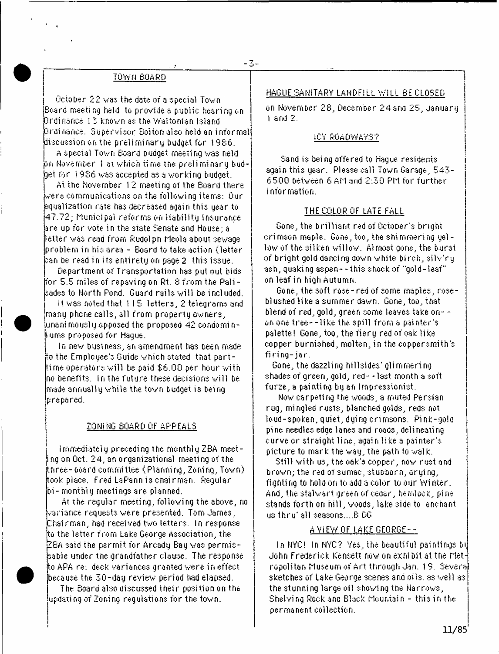# $-3-$

# TOWN BOARD

October 22 was the date of a special Town Board meeting held to provide a public hearing on Ordinance 1 3 known as the Vvaltonian Island Drdi nance. Supervisor Eolton also held an informal discussion on the prelim inary budget for 1986.

a special Town Board budget meeTing was held on Movemoer i a t which 11 me tne pre 1 i mi nar y budget for 1 986 was accepted as a working budget.

At the November 1 2 meeting of the Board there were communications on the following items: Our equalization rate has decreased again this year to 47.72; Municipal reforms on liability insurance are up for vote in the state Senate and House; a lletter was read from Rudolph Meola about sewage. problem in his area - Board to take action (letter can be read in its entirety on page2 this issue.

Department of Transportation has put out bids for 5.5 rniles of repaving on Rt. 8 from the Palisades to North Pond. Guard rails w ill be included.

it was noted that 1 1 5 letters, 2 telegrams and many phone calls, all from property owners, unanimously opposed the proposed 42 condominium® proposed for Hague.

In new business, an amendment has been made to the Employee's Guide which stated that parttime operators w ill be paid \$6.00 per hour with no be nefi ts. I n t he f ut ure t hese deci sions wi 11 be made annually while the town budget is being prepared.

#### 20Hi MG BOARD OF APPEALS

I Immediately preceding the monthly ZBA meet- $\mathfrak{\mathop{p}}$ ng on Oct. 24, an organizational meeting of the ithree - ooard committee (Planning, Zoning, Town) took place. Fred LaPann is chairman. Regular  $\mathrm{bi}$  - monthi y meeti ngs are pianned.

At the regular meeting, following the above, no variance requests were presented. Tom James, [. hai r ma n, had recei ved two I ette rs . I n res po nse to the letter trom Lake George Association, the  $\mathbb E$ BA said the permit for Arcady Bay was permissable under tne grandfather clause. The response to APA re: deck variances granted were in effect because the 30-day review period had elapsed.

The Board also discussed their position on the u pd a t i ng o f *2* o ni rig r e g u 1 a ti o ns fo r t he t ow ri.

#### HAGUE SANITARY LANDFILL WILL SE CLOSED

on November 28, December 24 and 25, January 1 and 2.

#### ICY ROADWAYS?

Sand is being offered to Haque residents again this year. Please call Town Garsge, 543-6500 between 6 AM and 2:30 PM for further j information.

#### THE COLOR OF LATE FALL

Gone, the brilliant red of October's bright crimson maple. Gone, too, the shimmering yellow of the sil ken willow. A1 most gone, the burst of bright gold dancing down white birch, s ilv 'ry ash, quaking aspen - - this shock of "gold-leaf" on leaf in high Autumn.

Gone, the soft rose-red of some maples, rosebl ushed 1i ke a summer dawn. Gone, too, that blend of red, gold, green some leaves take on - on one tree - - like the spill from a painter's palette! Gone, too, the fieru red of oak like copper burnished, molten, in the coppersmith's  $f$ iring - $j$ ar.

Gone, the dazzling hillsides' glimmering shades of green, gold, red - - last month a soft furze, a painting by an Impressionist.

Now car peting the woods, a muted Persian. rug, mingled rusts, blanched golds, reds not 10ud-spoken, quiet, dying crimsons. Pink-gola pine needles edge lanes and roads, delineating curve or straight line, again like a painter's picture to mark the way, the path to walk.

Still with us, the oak's copper, now rust and brown; the red ot sumac, stubborn, drying, fighting to hold on to add a color to our Winter. And, the stalwart green of cedar, hemlock, pine stands forth on hill, woods, lake side to enchant us thru\* all seasons....B DG

#### A VIEW OF LAKE GEORGE--

In NYC! In NYC? Yes, the beautiful paintings hi John F rede rick Kensett now on ex hi bit at the Metropolitan Museum of Art through Jan. 1 9. Severe sketches of Lake George scenes and oils, as well as the stunning large oil showing the Narrows, Shelving Rock arid Black Mountain - this in the permanent collection.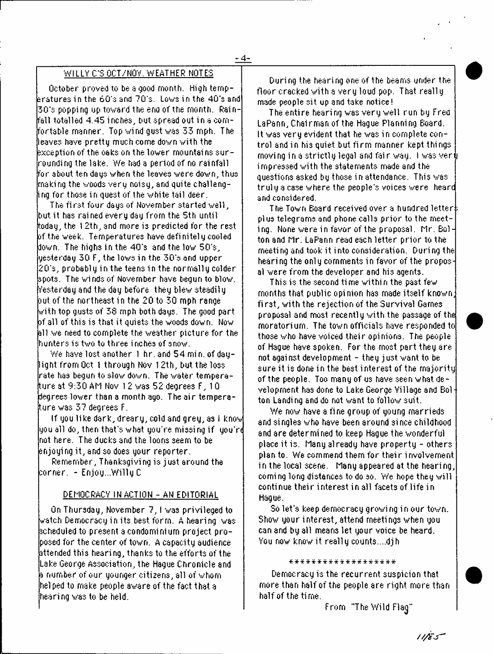# WILLY C'S OCT/NOV. WEATHER NOTES

October proved to be a good month. Hiqh temperatures in the 6G's and 70's. Lows in the 4G's and 30\*3 popping up toward the end of the month. Rainfall totalled 4.45 inches, hut spread out in a comfortahie manner. Top wi nd gust was 33 mph. The leaves have pretty much come down with the exception of the oaks on the lower mountains surrounding the lake. We had a period of no rainfall for about ten days when the leaves were down, thus making the woods very noisy, and quite challenging for those in quest of the white tail deer.

The first four days of November started well, but it has rained every day from the 5th until today, the 1 2th. and more i3 predicted for the rest of the week. Temperatures have definitely cooled down. The highs in the 40's and the low  $50\%$  , yesterday 30 F, the lows in the 3G's and upper 2 O's, probably in the teens in the normally colder spots. The winds of November have begun to blow. Yesterday and the day before they blew steadily out of the northeast in the 20 to 30 mph range with top gusts of 38 mph both days. The good part  $\mathfrak b$ f all of this is that it quiets the woods down. Now all we need to complete the weather picture for the hunters is two to three inches of snow.

We have lost another 1 hr. and 54 min. of daylight from Oct 1 through Nov 1 2th, but the loss rate has begun to slow down. The water temperature at 9:30 AM Nov 1 2 was 52 degrees F, 1 0 degrees lower than a month ago. The air temperature was 37 degrees F.

If you like dark, dreary, cold and grey, as f know you all do, then that's what you're missing if you'n not here. The ducks and the loons seem to be enjoying it, and so does your reporter.

Remember, Thanksgiving is just around the corner. - Enjoy...Willy C

# DEMOCRACY IN ACTION - AN EDITORIAL

On Thursday, November 7 , 1 was privileged to watch Democracy in its best form. A hearing was scheduled to present a condominium project proposed for the center of town. A capacity audience attended this hearing, thanks to the efforts of the Lake George Association, the Hague Chronicle and  $\,\mathsf b$  number of our younger citizens, all of whom helped to make people aware of the fact that a hearing was to be held.

During the hearing one of the beams under the floor cracked with a very loud pop. That really made people sit up and take notice!

The entire hearing was very well run by Fred LaPann, Chairman of the Hague Planning Board. It was very evident that he was in complete control and in hi3 quiet but firm manner kept things moving in a strictly legal and fair way. I was very impressed with the statements made and the questions asked by those in attendance. This was truly a case where the people's voices were heard and considered.

The Town Board received over a hundred letter $\ddagger$ plus telegrams and phone calls prior to the meeting. None were in favor of the proposal. Mr. Bolton and Mr. LaPann read each letter prior to the meeting and took it into consideration. During the hearing the only comments in favor of the proposal were from the developer and his agents.

This is the second time within the past few months that public opinion has made itself known, first, with the rejection of the Survival Games proposal and most recently with the passage of the moratorium. The town officials have responded to those who have voiced their opinions. The people of Hague have spoken. For the most part they are not against development - they just want to be sure it is done in the best interest of the majority of the people. Too many of us have seen what development has done to Lake George Village and Bolton Landing and do not want to follow suit.

We now have a fine group of young rnarrieds and singles who have been around since childhood and are determined to keep Hague the wonderful place it is. Many already have property - others plan to. We commend them for their involvement in the local scene. Many appeared at the hearing, corning long distances to do so. We hope they will continue their interest in all facets of life in Hague.

So let's keep democracy growi ng i n our town. Show your interest, attend meetings when you can and by all means let your voice be heard. You now know it really counts....djh

\*\*\*\*\*\*\*\*\*\*\*\*\*\*\*\*\*\*

Democracy is the recurrent suspicion that more than half of the people are right more than half of the time.

From "The Wild Flag"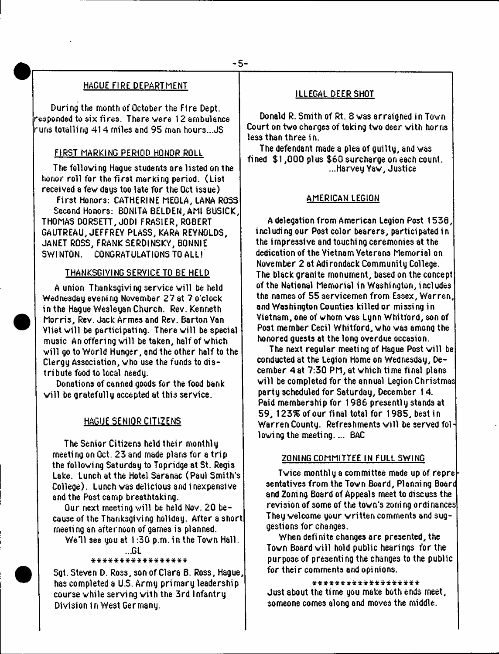# HAGUE FIRE DEPARTMENT

During the month of October the Fire Dept, responded to six fires. There were 12 ambulance runs totalling 414 miles and 95 rnan hours...JS

### FIRST MARKING PERIOD HONOR ROLL

The following Hague students are listed on the honor roll for the first marking period. (List received a few days too late for the Oct issue)

First Honors: CATHERINE MEOLA, LANA ROSS Second Honors: BONITA BELDEN, AMI 6USICK, THOMAS DORSETT, JODI FRASIER, ROBERT GAUTREAU, JEFFREY PLASS, KARA REYNOLDS, JANET ROSS, FRANK SERDINSKY, BONNIE SWINTON. CONGRATULATIONS TO ALL!

# THANKSGIVING SERVICE TO BE HELD

A union Thanksgiving service will be held Wednesday evening November 27 at 7 o'clock in the Hague Wesleyan Church. Rev. Kenneth Morris, Rev. Jack Armes and Rev. Barton Yan Ylietwill be participating. There will be special music An offering will be taken, half of which will go to World Hunger, and the other half to the Clergy Association, who use the funds to distribute food to local needy.

Donations of canned goods for the food bank will be gratefully accepted at this service.

### HAGUE SENIOR CITIZENS

The Senior Citi2ens held their monthly meeting on Oct. 23 and made plans for a trip the following Saturday to Topridge at St. Regis Lake. Lunch at the Hotel Saranac (Paul Smith's College). Lunch was delicious and i nexpensive and the Post camp breathtaking.

Our next meeting will be held Nov. 20 because of the Thanksgiving holiday. After a short rneeti ng an afternoon of games is planned.

We'll see you at  $1:30$  p.m. in the Town Hall.

&...<br>\*\*\*\*\*\*\*\*\*\*\*\*\*\*\*\*\*

Sgt. Steven D. Ross, son of Clara B. Ross, Hague, has completed a U.S. Army primary leadership course while serving with the 3rd Infantry Division in West Germany.

# ILLEGAL DEER SHOT

Donald R. Smith of Rt. 8 was arraigned in Town Court on two charges of taki ng two deer with horns less than three in.

The defendant made a plea of guilty, and was fined \$1,000 plus \$60 surcharge on each count. ...Harvey Yaw, Justice

#### AMERICAN LEGION

A delegation from American Legion Post 1538, including our Post color bearers, participated in the impressive and touching ceremonies at the dedication of the Yietnam Veterans Memorial on November 2 at Adirondack Community College. The black granite monument, based on the concept of the National Memorial in Washington, includes the names of 55 servicemen from Essex, Warren, and Washington Counties killed or missing in Vietnam, one of whom was Lynn Whitford, son of Post member Cecil Whitford, who was among the honored guests at the long overdue occasion.

The next regular meeting of Hague Post will be conducted at the Legion Home on Wednesday, December 4at 7:30 PM, at which time final plans will be completed for the annual Legion Christmas party scheduled for Saturday, December 14. Paid membership for 1986 presently stands at 59, 123% of our fi nal total for 1985, best i n Warren County. Refreshments will be served following the meeting.... BAC

#### ZONING COMMITTEE IN FULL SWING

Twice monthly a committee made up of repre $\dagger$ sentatives from the Town Board, Planning Board and Zoning Board of Appeals meet to discuss the revision of some of the town's 2oning ordinances They welcome your written comments and suggestions for changes.

When definite changes are presented, the Town Board will hold public hearings for the purpose of presenti ng the changes to the public for their comments and opinions.

\*\*\*\*\*\*\*\*\*\*\*\*\*\*\*\*\*\* Just about ttie time you make both ends meet, someone comes along and moves the middle.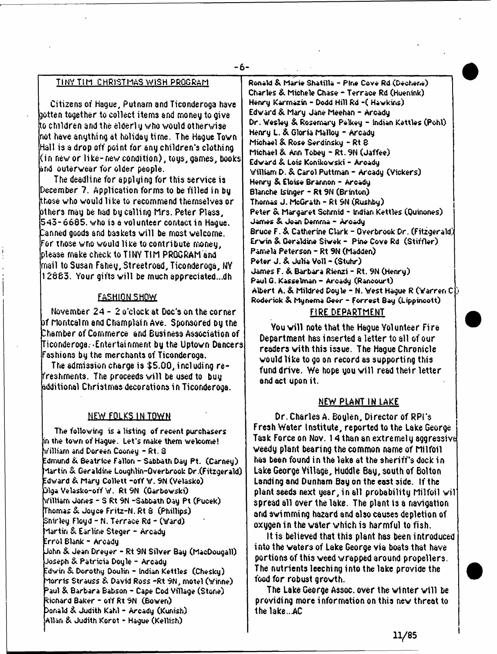- **6**-

#### **TINY TIM CHRISTMAS WISH PROGRAM**

Citizens of Hague, Putnarn and Ticonderoga have gotten together to collect items and money to give ito children and the elderly who would otherwise. not have anything at holiday time. The Hague Town Hall is a drop oft point for any children's clothing (in new or like-new condition), toys, games, hooks and outerwear for older people.

The deadline for applying for this service is December 7. Application forms to be filled in by those who would like to recommend themselves or others rnay be had by calling Mrs. Peter Plass, 543-6685. who is a volunteer contact in Hague. Canned goods and baskets will be most welcome, for those wno would like to contribute money, please make check to TINY TIM PROGRAM and mail to Susan Fahey, Streetroad, Ticonderoga, NY 12883. Your gifts will be much appreciated...dh

# FASHION SHOW

November 24-2 o'clock at Doc's on the corner of Montcalm and Champlain Ave. Sponsored by the Chamber of Commerce and Business Association of Ticonderoga. -Entertainment by the Uptown Dancers Fashions by the merchants of Ticonderoga.

The admission charge is \$5.00, including refreshments. The proceeds will be used to buy additional Christmas decorations in Ticonderoga.

#### NEW FOLKS IN TOWN

The following is a listing of recent purchasers **in the town of Hague. Let's make them welcome! William and Doreen Cooney - Rt. 3 Edmund & Beatrice Fallon - Sabbath Day Pt. (Carney) iartin & Geraldine Loughlin-Overbrook Dr .(Fitzgerald) Edward & Mary Collett -off V. SN (Velasko) Cilga Velasko-off W. Rt SN (Garbowski) William Jones - 3 Rt 5N -Sabbath Day Pt (Pucek) Thomas & Joyce Fritz-N. Rt 8 (Phillips) Shirley Floyd - N. Terrace Rd - (Ward) iartin & Ear line Steger - Arcady Errol Blank - Arcady John & Jean Dreyer - Rt 9N Silver Bay (MacDougall) Joseph & Patricia Doyle - Arcady Edwin & Dorothy Doulin - Indian Kettles (Chesky) iorris Strauss & David Ross -Rt 9N, motel (Winne) daul & Barbara Babson - Cape Cod Village (Stone) <icnard Baker - off Rt 9N (Bowen) Donald & Judith Kahl - Arcady (Kunish) Allan & Judith Korot - Hague (Kellish)**

Ronald &. Marie Shatilla - Pine Cove Rd (Dechene) **Charles & Michele Chase - Terrace Rd (Huenink) Henry Karmazin - Dodd Hill Rd -( Hawkins) Edward & Mary Jane Meehan - Arcady Dr. Wesley & Rosemary Pelkey - Indian Kettles (Pohl) Henry L. & Gloria Malloy - Arcady Michael & Rose Serdinsky - Rt 8 Michael & Ann Tobey - Rt. 9N (Jaffee) Edvard & Lois Kcnikowski - Arcady William D. & Carol Puttman - Arcady (Vickers) Henry & Eloise Brannon - Arcady Blanche (singer - Rt 9N (Brinton) Thomas J. McGrath - Rt 5N (Rushby)** Peter & Margaret Schmid - Indian Kettles (Quinones) **James & Joan Demma - Arcady Bruce F. &. Catherine Clark - Over brook Dr. (Fitzgerald) Erwin & Geraldine Siwek - Pine Cove Rd (Stiffler) Pamela Peterson - Rt 9N (Madden) Peter J. & Julia Voll - (Stuhr) James F. & Barbara Rienzi - Rt. 9N (Henry) Paul G. Kasselman - Arcady (Rancourt) Albert A. & Mildred Doyle - N. West Hague R (Warren C ) Roderiok & Mynema Geer - Forrest Bay (Lippincott)** FIRE DEPARTMENT

You will note that the Hague Yol unteer Fire Department has inserted a letter to all of our readers with this issue. The Hague Chronicle would like to go on record as supporting this fund drive. We hope you will read their letter and act upon it.

#### NEW PLANT IN LAKE

Dr. Charles A. Boylen, Director of RPI's Fresh Water Institute, reported to the Lake George Task Force on Nov. 14 than an extremely aggressive weedy plant bearing the common name of Milfoil has been found in the lake at the sheriff's dock in Lake George Village, Huddle Bay, south of Bolton Landing and Dunham Bay on the east side. If the plant seeds next year, in all probability Milfoil wil spread all over the lake. The plant is a navigation and swimming hazard and also causes depletion of oxygen in the water which is harmful to fish.

It is believed that this plant has been introduced into the waters of Lake George via boats that have portions of this weed wrapped around propellers. The nutrients leeching into the lake provide the food for robust growth.

The Lake George Assoc, over the winter will be providing more information on this new threat to the lake...AC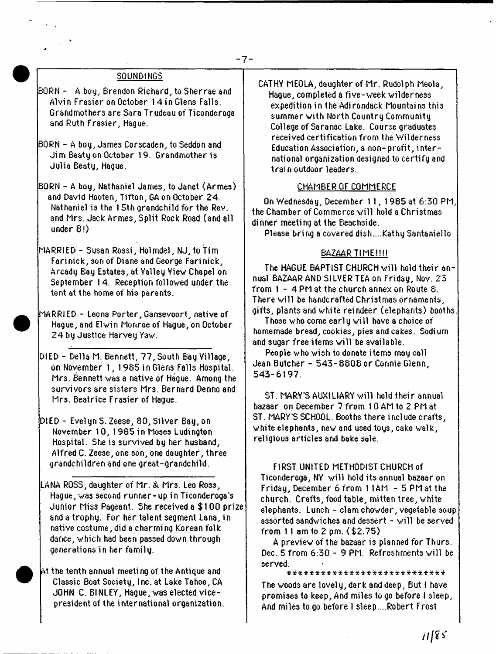# SOUNDINGS

BORN - A boy, Brendon Richard, to Sherrae and Alvin Frasier on October 14in Glens Falls. Grandmothers are Sara Trudeau of Ticonderoga and Ruth Frasier, Hague.

BORN - A boy, James Corscaden, to Seddon and Jim Beaty on October 19. Grandmother is Julia Beaty, Hague.

BORN - A boy, Nathaniel James, to Janet (Armes) and David Hooten, Tifton, GA on October 24. Nathaniel is the 15th grandchild for the Rev. and Mrs. Jack Armes, Split Rock Road (and all under 8!)

MARRIED - Susan Rossi, Holmdel, NJ,to Tim Farinick, son of Diane and George Farinick, Arcady Bay Estates, at Valley View Chapel on September 14. Reception followed under the tent at the home of his parents.

MARRIED - Leona Porter, Gansevoort, native of Hague, and Elwin Monroe of Hague, on October 24 by Justice Harvey Yaw.

DIED - Della M. Bennett, 77, South Bay Village, on November 1, 1985 in Glens Falls Hospital. Mrs. Bennett was a native of Hague. Among the survivors are sisters Mrs. Bernard Denno and Mr3. Beatrice Frasier of Hague.

DIED - Evelyn S. Zeese, 30, Silver Bay, on November 10, 1 985 in Moses Ludington Hospital. She is survived by her husband, Alfred C. Zeese, one son, one daughter, three grandchildren and one great-grandchild.

LANA ROSS, daughter of Mr. & Mrs. Leo Ross, Hague, was second runner-up in Ticonderoga's Junior Miss Pageant. She received a \$ 100 prize and a trophy. For her talent segment Lana, in native costume, did a charming Korean folk dance, which had been passed down through generations in her family.

 $\mathbb H$ t the tenth annual meeting of the Antique and Classic Boat Society, Inc. at Lake Tahoe, CA JOHN C. 61NLEY, Hague, was elected vicepresident of the international organization. CATHY MEOLA, daughter of Mr. Rudolph Meola, Hague, completed a five-week wilderness expedition in the Adirondack Mountains this summer with North Country Community College of Saranac Lake. Course graduates received certification from the Wilderness Education Association, a non-profit, international organization designed to certify and train outdoor leaders.

# CHAMBER OF COMMERCE

On Wednesday, December 11,1 985 at 6:30 PM, the Chamber of Commerce will hold a Christmas dinner meeting at the Beachside.

Please bring a covered dish....Kathy Santaniello

# BAZAAR TIME!!!!

The HAGUE BAPTIST CHURCH will hold their annual BAZAAR AND SILVER TEA on Friday, Nov. 23 from 1 - 4 PM at the church annex on Route 8. There will be handcrafted Christmas ornaments, gifts, plants and white reindeer (elephants) booths.

Those who come early will have a choice of homemade bread, cookies, pies and cakes. Sodium and sugar free items will be available.

People who wish to donate items rnay call Jean Butcher - 543-8808 or Connie Glenn, 543-6197.

ST. MARY'S AUXILIARY will hold their annual bazaar on December 7 from 10 AM to 2 PM at ST. MARY'S SCHOOL. Booths there include crafts, white elephants, new and used toys, cake walk, religious articles and bake sale.

FIRST UNITED METHODIST CHURCH of Ticonderoga, NY w ill hold its annual bazaar on Friday, December 6 from 11AM - 5 PM at the church. Crafts, food table, mitten tree, white elephants. Lunch - clam chowder, vegetable soup assorted sandwiches and dessert - will be served from 11 am to 2 pm. (\$2.75)

A preview of the bazaar is planned for Thurs. Dec. 5 from 6:30 - 9 PM. Refreshments will be served.

\*\*\*\*\*\*\*\*\*\*\*\*\*\*\*\*\*\*\*\*\*\*\*\*\*\*\*\*\* The woods are lovel y, dark and deep, But I have promises to keep, And miles to go before I sleep, And rniles to go before 1 sleep....Robert Frost